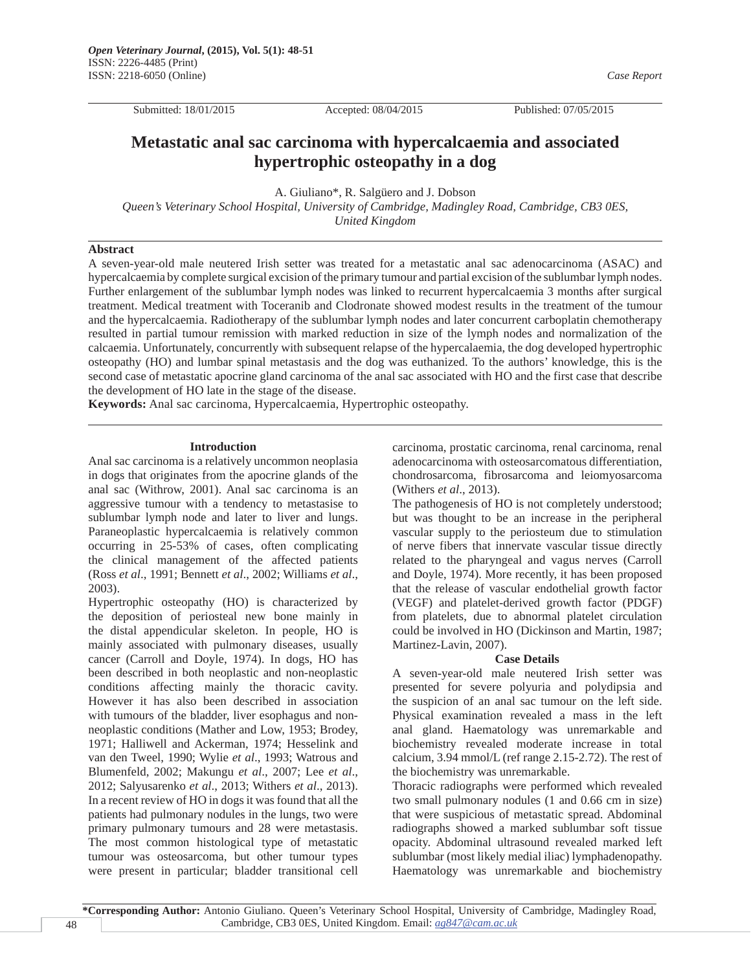Submitted: 18/01/2015 Accepted: 08/04/2015 Published: 07/05/2015

 *Case Report*

# **Metastatic anal sac carcinoma with hypercalcaemia and associated hypertrophic osteopathy in a dog**

A. Giuliano\*, R. Salgüero and J. Dobson

*Queen's Veterinary School Hospital, University of Cambridge, Madingley Road, Cambridge, CB3 0ES, United Kingdom*

## **Abstract**

A seven-year-old male neutered Irish setter was treated for a metastatic anal sac adenocarcinoma (ASAC) and hypercalcaemia by complete surgical excision of the primary tumour and partial excision of the sublumbar lymph nodes. Further enlargement of the sublumbar lymph nodes was linked to recurrent hypercalcaemia 3 months after surgical treatment. Medical treatment with Toceranib and Clodronate showed modest results in the treatment of the tumour and the hypercalcaemia. Radiotherapy of the sublumbar lymph nodes and later concurrent carboplatin chemotherapy resulted in partial tumour remission with marked reduction in size of the lymph nodes and normalization of the calcaemia. Unfortunately, concurrently with subsequent relapse of the hypercalaemia, the dog developed hypertrophic osteopathy (HO) and lumbar spinal metastasis and the dog was euthanized. To the authors' knowledge, this is the second case of metastatic apocrine gland carcinoma of the anal sac associated with HO and the first case that describe the development of HO late in the stage of the disease.

**Keywords:** Anal sac carcinoma, Hypercalcaemia, Hypertrophic osteopathy.

#### **Introduction**

Anal sac carcinoma is a relatively uncommon neoplasia in dogs that originates from the apocrine glands of the anal sac (Withrow, 2001). Anal sac carcinoma is an aggressive tumour with a tendency to metastasise to sublumbar lymph node and later to liver and lungs. Paraneoplastic hypercalcaemia is relatively common occurring in 25-53% of cases, often complicating the clinical management of the affected patients (Ross *et al*., 1991; Bennett *et al*., 2002; Williams *et al*., 2003).

Hypertrophic osteopathy (HO) is characterized by the deposition of periosteal new bone mainly in the distal appendicular skeleton. In people, HO is mainly associated with pulmonary diseases, usually cancer (Carroll and Doyle, 1974). In dogs, HO has been described in both neoplastic and non-neoplastic conditions affecting mainly the thoracic cavity. However it has also been described in association with tumours of the bladder, liver esophagus and nonneoplastic conditions (Mather and Low, 1953; Brodey, 1971; Halliwell and Ackerman, 1974; Hesselink and van den Tweel, 1990; Wylie *et al*., 1993; Watrous and Blumenfeld, 2002; Makungu *et al*., 2007; Lee *et al*., 2012; Salyusarenko *et al*., 2013; Withers *et al*., 2013). In a recent review of HO in dogs it was found that all the patients had pulmonary nodules in the lungs, two were primary pulmonary tumours and 28 were metastasis. The most common histological type of metastatic tumour was osteosarcoma, but other tumour types were present in particular; bladder transitional cell carcinoma, prostatic carcinoma, renal carcinoma, renal adenocarcinoma with osteosarcomatous differentiation, chondrosarcoma, fibrosarcoma and leiomyosarcoma (Withers *et al*., 2013).

The pathogenesis of HO is not completely understood; but was thought to be an increase in the peripheral vascular supply to the periosteum due to stimulation of nerve fibers that innervate vascular tissue directly related to the pharyngeal and vagus nerves (Carroll and Doyle, 1974). More recently, it has been proposed that the release of vascular endothelial growth factor (VEGF) and platelet-derived growth factor (PDGF) from platelets, due to abnormal platelet circulation could be involved in HO (Dickinson and Martin, 1987; Martinez-Lavin, 2007).

#### **Case Details**

A seven-year-old male neutered Irish setter was presented for severe polyuria and polydipsia and the suspicion of an anal sac tumour on the left side. Physical examination revealed a mass in the left anal gland. Haematology was unremarkable and biochemistry revealed moderate increase in total calcium, 3.94 mmol/L (ref range 2.15-2.72). The rest of the biochemistry was unremarkable.

Thoracic radiographs were performed which revealed two small pulmonary nodules (1 and 0.66 cm in size) that were suspicious of metastatic spread. Abdominal radiographs showed a marked sublumbar soft tissue opacity. Abdominal ultrasound revealed marked left sublumbar (most likely medial iliac) lymphadenopathy. Haematology was unremarkable and biochemistry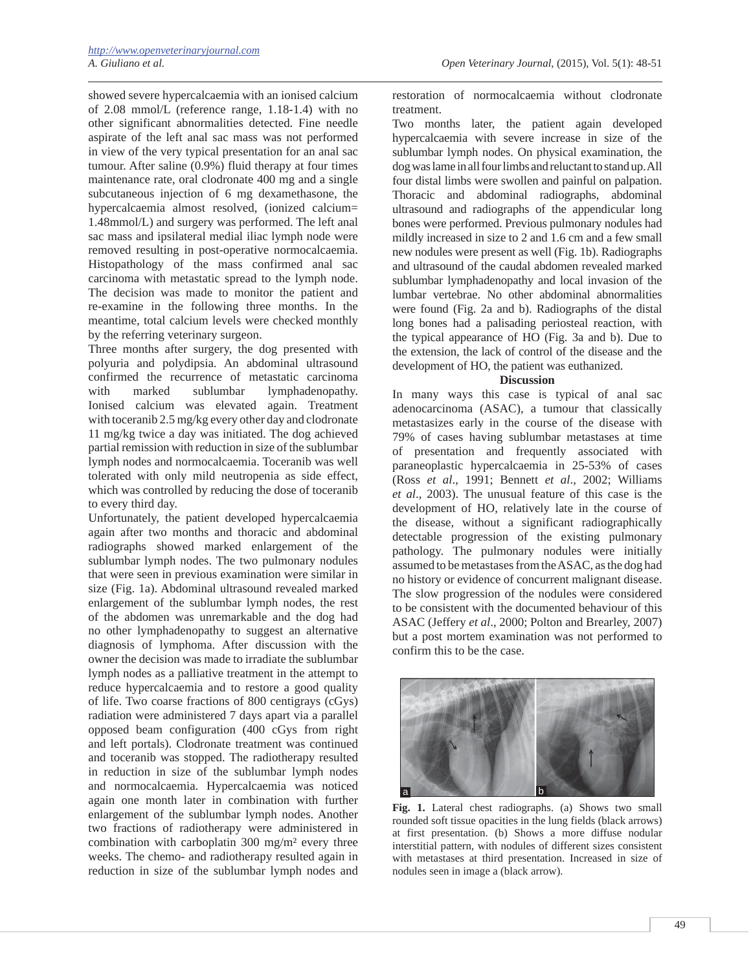showed severe hypercalcaemia with an ionised calcium of 2.08 mmol/L (reference range, 1.18-1.4) with no other significant abnormalities detected. Fine needle aspirate of the left anal sac mass was not performed in view of the very typical presentation for an anal sac tumour. After saline (0.9%) fluid therapy at four times maintenance rate, oral clodronate 400 mg and a single subcutaneous injection of 6 mg dexamethasone, the hypercalcaemia almost resolved, (ionized calcium= 1.48mmol/L) and surgery was performed. The left anal sac mass and ipsilateral medial iliac lymph node were removed resulting in post-operative normocalcaemia. Histopathology of the mass confirmed anal sac carcinoma with metastatic spread to the lymph node. The decision was made to monitor the patient and re-examine in the following three months. In the meantime, total calcium levels were checked monthly by the referring veterinary surgeon.

Three months after surgery, the dog presented with polyuria and polydipsia. An abdominal ultrasound confirmed the recurrence of metastatic carcinoma with marked sublumbar lymphadenopathy. Ionised calcium was elevated again. Treatment with toceranib 2.5 mg/kg every other day and clodronate 11 mg/kg twice a day was initiated. The dog achieved partial remission with reduction in size of the sublumbar lymph nodes and normocalcaemia. Toceranib was well tolerated with only mild neutropenia as side effect, which was controlled by reducing the dose of toceranib to every third day.

Unfortunately, the patient developed hypercalcaemia again after two months and thoracic and abdominal radiographs showed marked enlargement of the sublumbar lymph nodes. The two pulmonary nodules that were seen in previous examination were similar in size (Fig. 1a). Abdominal ultrasound revealed marked enlargement of the sublumbar lymph nodes, the rest of the abdomen was unremarkable and the dog had no other lymphadenopathy to suggest an alternative diagnosis of lymphoma. After discussion with the owner the decision was made to irradiate the sublumbar lymph nodes as a palliative treatment in the attempt to reduce hypercalcaemia and to restore a good quality of life. Two coarse fractions of 800 centigrays (cGys) radiation were administered 7 days apart via a parallel opposed beam configuration (400 cGys from right and left portals). Clodronate treatment was continued and toceranib was stopped. The radiotherapy resulted in reduction in size of the sublumbar lymph nodes and normocalcaemia. Hypercalcaemia was noticed again one month later in combination with further enlargement of the sublumbar lymph nodes. Another two fractions of radiotherapy were administered in combination with carboplatin 300 mg/m² every three weeks. The chemo- and radiotherapy resulted again in reduction in size of the sublumbar lymph nodes and restoration of normocalcaemia without clodronate treatment.

Two months later, the patient again developed hypercalcaemia with severe increase in size of the sublumbar lymph nodes. On physical examination, the dog was lame in all four limbs and reluctant to stand up. All four distal limbs were swollen and painful on palpation. Thoracic and abdominal radiographs, abdominal ultrasound and radiographs of the appendicular long bones were performed. Previous pulmonary nodules had mildly increased in size to 2 and 1.6 cm and a few small new nodules were present as well (Fig. 1b). Radiographs and ultrasound of the caudal abdomen revealed marked sublumbar lymphadenopathy and local invasion of the lumbar vertebrae. No other abdominal abnormalities were found (Fig. 2a and b). Radiographs of the distal long bones had a palisading periosteal reaction, with the typical appearance of HO (Fig. 3a and b). Due to the extension, the lack of control of the disease and the development of HO, the patient was euthanized.

### **Discussion**

In many ways this case is typical of anal sac adenocarcinoma (ASAC), a tumour that classically metastasizes early in the course of the disease with 79% of cases having sublumbar metastases at time of presentation and frequently associated with paraneoplastic hypercalcaemia in 25-53% of cases (Ross *et al*., 1991; Bennett *et al*., 2002; Williams *et al*., 2003). The unusual feature of this case is the development of HO, relatively late in the course of the disease, without a significant radiographically detectable progression of the existing pulmonary pathology. The pulmonary nodules were initially assumed to be metastases from the ASAC, as the dog had no history or evidence of concurrent malignant disease. The slow progression of the nodules were considered to be consistent with the documented behaviour of this ASAC (Jeffery *et al*., 2000; Polton and Brearley, 2007) but a post mortem examination was not performed to confirm this to be the case.



**Fig. 1.** Lateral chest radiographs. (a) Shows two small rounded soft tissue opacities in the lung fields (black arrows) at first presentation. (b) Shows a more diffuse nodular interstitial pattern, with nodules of different sizes consistent with metastases at third presentation. Increased in size of nodules seen in image a (black arrow).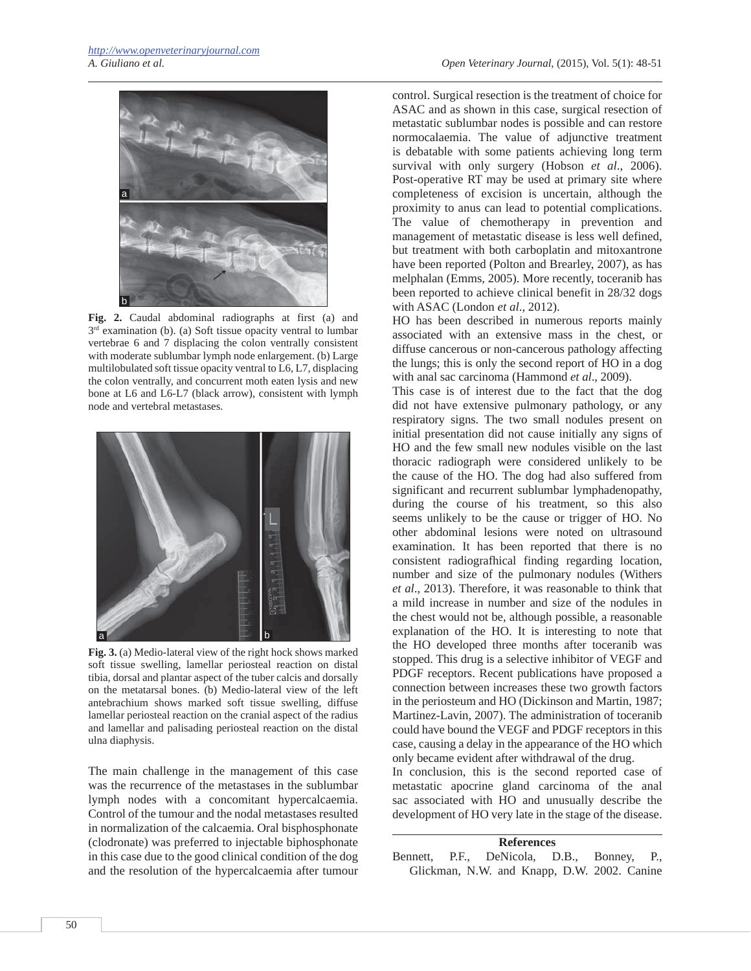

**Fig. 2.** Caudal abdominal radiographs at first (a) and 3<sup>rd</sup> examination (b). (a) Soft tissue opacity ventral to lumbar vertebrae 6 and 7 displacing the colon ventrally consistent with moderate sublumbar lymph node enlargement. (b) Large multilobulated soft tissue opacity ventral to L6, L7, displacing the colon ventrally, and concurrent moth eaten lysis and new bone at L6 and L6-L7 (black arrow), consistent with lymph node and vertebral metastases.



**Fig. 3.** (a) Medio-lateral view of the right hock shows marked soft tissue swelling, lamellar periosteal reaction on distal tibia, dorsal and plantar aspect of the tuber calcis and dorsally on the metatarsal bones. (b) Medio-lateral view of the left antebrachium shows marked soft tissue swelling, diffuse lamellar periosteal reaction on the cranial aspect of the radius and lamellar and palisading periosteal reaction on the distal ulna diaphysis.

The main challenge in the management of this case was the recurrence of the metastases in the sublumbar lymph nodes with a concomitant hypercalcaemia. Control of the tumour and the nodal metastases resulted in normalization of the calcaemia. Oral bisphosphonate (clodronate) was preferred to injectable biphosphonate in this case due to the good clinical condition of the dog and the resolution of the hypercalcaemia after tumour

control. Surgical resection is the treatment of choice for ASAC and as shown in this case, surgical resection of metastatic sublumbar nodes is possible and can restore normocalaemia. The value of adjunctive treatment is debatable with some patients achieving long term survival with only surgery (Hobson *et al*., 2006). Post-operative RT may be used at primary site where completeness of excision is uncertain, although the proximity to anus can lead to potential complications. The value of chemotherapy in prevention and management of metastatic disease is less well defined, but treatment with both carboplatin and mitoxantrone have been reported (Polton and Brearley, 2007), as has melphalan (Emms, 2005). More recently, toceranib has been reported to achieve clinical benefit in 28/32 dogs with ASAC (London *et al*., 2012).

HO has been described in numerous reports mainly associated with an extensive mass in the chest, or diffuse cancerous or non-cancerous pathology affecting the lungs; this is only the second report of HO in a dog with anal sac carcinoma (Hammond *et al*., 2009).

This case is of interest due to the fact that the dog did not have extensive pulmonary pathology, or any respiratory signs. The two small nodules present on initial presentation did not cause initially any signs of HO and the few small new nodules visible on the last thoracic radiograph were considered unlikely to be the cause of the HO. The dog had also suffered from significant and recurrent sublumbar lymphadenopathy, during the course of his treatment, so this also seems unlikely to be the cause or trigger of HO. No other abdominal lesions were noted on ultrasound examination. It has been reported that there is no consistent radiografhical finding regarding location, number and size of the pulmonary nodules (Withers *et al*., 2013). Therefore, it was reasonable to think that a mild increase in number and size of the nodules in the chest would not be, although possible, a reasonable explanation of the HO. It is interesting to note that the HO developed three months after toceranib was stopped. This drug is a selective inhibitor of VEGF and PDGF receptors. Recent publications have proposed a connection between increases these two growth factors in the periosteum and HO (Dickinson and Martin, 1987; Martinez-Lavin, 2007). The administration of toceranib could have bound the VEGF and PDGF receptors in this case, causing a delay in the appearance of the HO which only became evident after withdrawal of the drug.

In conclusion, this is the second reported case of metastatic apocrine gland carcinoma of the anal sac associated with HO and unusually describe the development of HO very late in the stage of the disease.

**References** Bennett, P.F., DeNicola, D.B., Bonney, P., Glickman, N.W. and Knapp, D.W. 2002. Canine